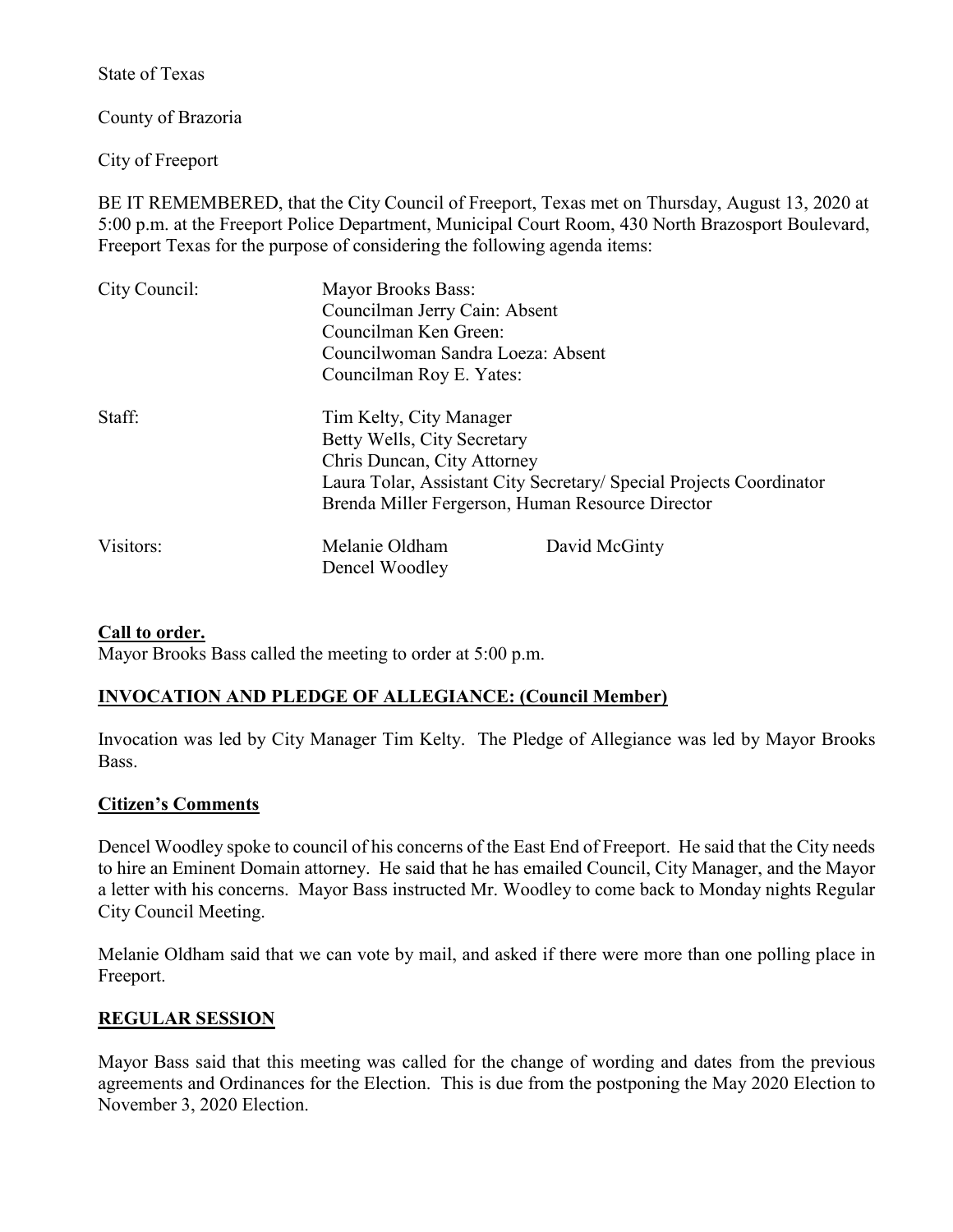State of Texas

County of Brazoria

City of Freeport

BE IT REMEMBERED, that the City Council of Freeport, Texas met on Thursday, August 13, 2020 at 5:00 p.m. at the Freeport Police Department, Municipal Court Room, 430 North Brazosport Boulevard, Freeport Texas for the purpose of considering the following agenda items:

| City Council: | Mayor Brooks Bass:<br>Councilman Jerry Cain: Absent<br>Councilman Ken Green:<br>Councilwoman Sandra Loeza: Absent<br>Councilman Roy E. Yates: |                                                                                                                         |
|---------------|-----------------------------------------------------------------------------------------------------------------------------------------------|-------------------------------------------------------------------------------------------------------------------------|
| Staff:        | Tim Kelty, City Manager<br>Betty Wells, City Secretary<br>Chris Duncan, City Attorney                                                         | Laura Tolar, Assistant City Secretary/ Special Projects Coordinator<br>Brenda Miller Fergerson, Human Resource Director |
| Visitors:     | Melanie Oldham<br>Dencel Woodley                                                                                                              | David McGinty                                                                                                           |

## **Call to order.**

Mayor Brooks Bass called the meeting to order at 5:00 p.m.

# **INVOCATION AND PLEDGE OF ALLEGIANCE: (Council Member)**

Invocation was led by City Manager Tim Kelty. The Pledge of Allegiance was led by Mayor Brooks Bass.

## **Citizen's Comments**

Dencel Woodley spoke to council of his concerns of the East End of Freeport. He said that the City needs to hire an Eminent Domain attorney. He said that he has emailed Council, City Manager, and the Mayor a letter with his concerns. Mayor Bass instructed Mr. Woodley to come back to Monday nights Regular City Council Meeting.

Melanie Oldham said that we can vote by mail, and asked if there were more than one polling place in Freeport.

# **REGULAR SESSION**

Mayor Bass said that this meeting was called for the change of wording and dates from the previous agreements and Ordinances for the Election. This is due from the postponing the May 2020 Election to November 3, 2020 Election.